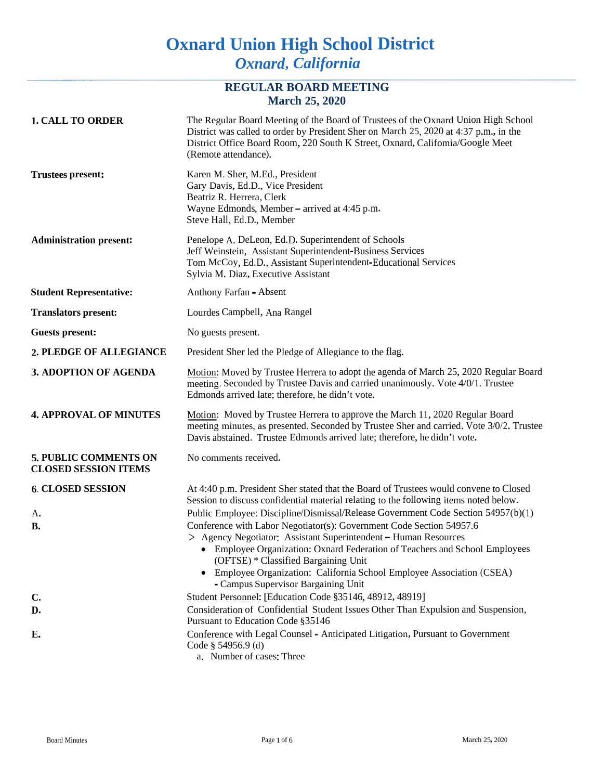# **Oxnard Union High School District** *Oxnard***,** *California*

## **REGULAR BOARD MEETING March 25, 2020**

| <b>1. CALL TO ORDER</b>                              | The Regular Board Meeting of the Board of Trustees of the Oxnard Union High School<br>District was called to order by President Sher on March 25, 2020 at 4:37 p.m., in the<br>District Office Board Room, 220 South K Street, Oxnard, Califomia/Google Meet<br>(Remote attendance). |  |  |
|------------------------------------------------------|--------------------------------------------------------------------------------------------------------------------------------------------------------------------------------------------------------------------------------------------------------------------------------------|--|--|
| <b>Trustees present:</b>                             | Karen M. Sher, M.Ed., President<br>Gary Davis, Ed.D., Vice President<br>Beatriz R. Herrera, Clerk<br>Wayne Edmonds, Member - arrived at 4:45 p.m.<br>Steve Hall, Ed.D., Member                                                                                                       |  |  |
| <b>Administration present:</b>                       | Penelope A. DeLeon, Ed.D. Superintendent of Schools<br>Jeff Weinstein, Assistant Superintendent-Business Services<br>Tom McCoy, Ed.D., Assistant Superintendent-Educational Services<br>Sylvia M. Diaz, Executive Assistant                                                          |  |  |
| <b>Student Representative:</b>                       | Anthony Farfan - Absent                                                                                                                                                                                                                                                              |  |  |
| <b>Translators present:</b>                          | Lourdes Campbell, Ana Rangel                                                                                                                                                                                                                                                         |  |  |
| <b>Guests present:</b>                               | No guests present.                                                                                                                                                                                                                                                                   |  |  |
| 2. PLEDGE OF ALLEGIANCE                              | President Sher led the Pledge of Allegiance to the flag.                                                                                                                                                                                                                             |  |  |
| 3. ADOPTION OF AGENDA                                | Motion: Moved by Trustee Herrera to adopt the agenda of March 25, 2020 Regular Board<br>meeting. Seconded by Trustee Davis and carried unanimously. Vote 4/0/1. Trustee<br>Edmonds arrived late; therefore, he didn't vote.                                                          |  |  |
| <b>4. APPROVAL OF MINUTES</b>                        | Motion: Moved by Trustee Herrera to approve the March 11, 2020 Regular Board<br>meeting minutes, as presented. Seconded by Trustee Sher and carried. Vote 3/0/2. Trustee<br>Davis abstained. Trustee Edmonds arrived late; therefore, he didn't vote.                                |  |  |
| 5. PUBLIC COMMENTS ON<br><b>CLOSED SESSION ITEMS</b> | No comments received.                                                                                                                                                                                                                                                                |  |  |
| <b>6. CLOSED SESSION</b>                             | At 4:40 p.m. President Sher stated that the Board of Trustees would convene to Closed<br>Session to discuss confidential material relating to the following items noted below.                                                                                                       |  |  |
| A.                                                   | Public Employee: Discipline/Dismissal/Release Government Code Section 54957(b)(1)                                                                                                                                                                                                    |  |  |
| В.                                                   | Conference with Labor Negotiator(s): Government Code Section 54957.6                                                                                                                                                                                                                 |  |  |
|                                                      | > Agency Negotiator: Assistant Superintendent - Human Resources<br>• Employee Organization: Oxnard Federation of Teachers and School Employees<br>(OFTSE) * Classified Bargaining Unit                                                                                               |  |  |
|                                                      | Employee Organization: California School Employee Association (CSEA)<br>- Campus Supervisor Bargaining Unit                                                                                                                                                                          |  |  |
| C.                                                   | Student Personnel: [Education Code §35146, 48912, 48919]                                                                                                                                                                                                                             |  |  |
| D.                                                   | Consideration of Confidential Student Issues Other Than Expulsion and Suspension,<br>Pursuant to Education Code §35146                                                                                                                                                               |  |  |
| E.                                                   | Conference with Legal Counsel - Anticipated Litigation, Pursuant to Government<br>Code $\S$ 54956.9 (d)<br>a. Number of cases: Three                                                                                                                                                 |  |  |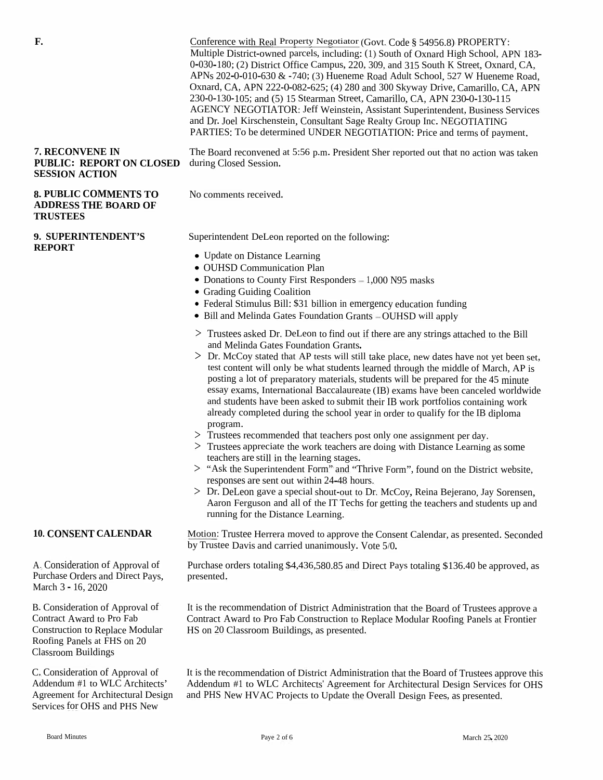| F.                                                                                                                                                                  | Conference with Real Property Negotiator (Govt. Code § 54956.8) PROPERTY:<br>Multiple District-owned parcels, including: (1) South of Oxnard High School, APN 183-<br>0-030-180; (2) District Office Campus, 220, 309, and 315 South K Street, Oxnard, CA,<br>APNs $202$ -0-010-630 & -740; (3) Hueneme Road Adult School, 527 W Hueneme Road,<br>Oxnard, CA, APN 222-0-082-625; (4) 280 and 300 Skyway Drive, Camarillo, CA, APN<br>230-0-130-105; and (5) 15 Stearman Street, Camarillo, CA, APN 230-0-130-115<br>AGENCY NEGOTIATOR: Jeff Weinstein, Assistant Superintendent, Business Services<br>and Dr. Joel Kirschenstein, Consultant Sage Realty Group Inc. NEGOTIATING<br>PARTIES: To be determined UNDER NEGOTIATION: Price and terms of payment.                                                                                                                                                                                                                                                                                                                                                                                                                                                                                   |  |  |
|---------------------------------------------------------------------------------------------------------------------------------------------------------------------|-----------------------------------------------------------------------------------------------------------------------------------------------------------------------------------------------------------------------------------------------------------------------------------------------------------------------------------------------------------------------------------------------------------------------------------------------------------------------------------------------------------------------------------------------------------------------------------------------------------------------------------------------------------------------------------------------------------------------------------------------------------------------------------------------------------------------------------------------------------------------------------------------------------------------------------------------------------------------------------------------------------------------------------------------------------------------------------------------------------------------------------------------------------------------------------------------------------------------------------------------|--|--|
| 7. RECONVENE IN<br><b>PUBLIC: REPORT ON CLOSED</b><br><b>SESSION ACTION</b>                                                                                         | The Board reconvened at 5:56 p.m. President Sher reported out that no action was taken<br>during Closed Session.                                                                                                                                                                                                                                                                                                                                                                                                                                                                                                                                                                                                                                                                                                                                                                                                                                                                                                                                                                                                                                                                                                                              |  |  |
| <b>8. PUBLIC COMMENTS TO</b><br><b>ADDRESS THE BOARD OF</b><br><b>TRUSTEES</b>                                                                                      | No comments received.                                                                                                                                                                                                                                                                                                                                                                                                                                                                                                                                                                                                                                                                                                                                                                                                                                                                                                                                                                                                                                                                                                                                                                                                                         |  |  |
| 9. SUPERINTENDENT'S                                                                                                                                                 | Superintendent DeLeon reported on the following:                                                                                                                                                                                                                                                                                                                                                                                                                                                                                                                                                                                                                                                                                                                                                                                                                                                                                                                                                                                                                                                                                                                                                                                              |  |  |
| <b>REPORT</b>                                                                                                                                                       | • Update on Distance Learning<br>• OUHSD Communication Plan<br>• Donations to County First Responders – 1,000 N95 masks<br>• Grading Guiding Coalition<br>• Federal Stimulus Bill: \$31 billion in emergency education funding<br>• Bill and Melinda Gates Foundation Grants - OUHSD will apply                                                                                                                                                                                                                                                                                                                                                                                                                                                                                                                                                                                                                                                                                                                                                                                                                                                                                                                                               |  |  |
|                                                                                                                                                                     | > Trustees asked Dr. DeLeon to find out if there are any strings attached to the Bill<br>and Melinda Gates Foundation Grants.<br>> Dr. McCoy stated that AP tests will still take place, new dates have not yet been set,<br>test content will only be what students learned through the middle of March, AP is<br>posting a lot of preparatory materials, students will be prepared for the 45 minute<br>essay exams, International Baccalaureate (IB) exams have been canceled worldwide<br>and students have been asked to submit their IB work portfolios containing work<br>already completed during the school year in order to qualify for the IB diploma<br>program.<br>> Trustees recommended that teachers post only one assignment per day.<br>> Trustees appreciate the work teachers are doing with Distance Learning as some<br>teachers are still in the learning stages.<br>> "Ask the Superintendent Form" and "Thrive Form", found on the District website,<br>responses are sent out within 24-48 hours.<br>> Dr. DeLeon gave a special shout-out to Dr. McCoy, Reina Bejerano, Jay Sorensen,<br>Aaron Ferguson and all of the IT Techs for getting the teachers and students up and<br>running for the Distance Learning. |  |  |
| <b>10. CONSENT CALENDAR</b>                                                                                                                                         | Motion: Trustee Herrera moved to approve the Consent Calendar, as presented. Seconded<br>by Trustee Davis and carried unanimously. Vote 5/0.                                                                                                                                                                                                                                                                                                                                                                                                                                                                                                                                                                                                                                                                                                                                                                                                                                                                                                                                                                                                                                                                                                  |  |  |
| A. Consideration of Approval of<br>Purchase Orders and Direct Pays,<br>March 3 - 16, 2020                                                                           | Purchase orders totaling \$4,436,580.85 and Direct Pays totaling \$136.40 be approved, as<br>presented.                                                                                                                                                                                                                                                                                                                                                                                                                                                                                                                                                                                                                                                                                                                                                                                                                                                                                                                                                                                                                                                                                                                                       |  |  |
| B. Consideration of Approval of<br>Contract Award to Pro Fab<br><b>Construction to Replace Modular</b><br>Roofing Panels at FHS on 20<br><b>Classroom Buildings</b> | It is the recommendation of District Administration that the Board of Trustees approve a<br>Contract Award to Pro Fab Construction to Replace Modular Roofing Panels at Frontier<br>HS on 20 Classroom Buildings, as presented.                                                                                                                                                                                                                                                                                                                                                                                                                                                                                                                                                                                                                                                                                                                                                                                                                                                                                                                                                                                                               |  |  |
| C. Consideration of Approval of<br>Addendum #1 to WLC Architects'<br>Agreement for Architectural Design<br>Services for OHS and PHS New                             | It is the recommendation of District Administration that the Board of Trustees approve this<br>Addendum #1 to WLC Architects' Agreement for Architectural Design Services for OHS<br>and PHS New HVAC Projects to Update the Overall Design Fees, as presented.                                                                                                                                                                                                                                                                                                                                                                                                                                                                                                                                                                                                                                                                                                                                                                                                                                                                                                                                                                               |  |  |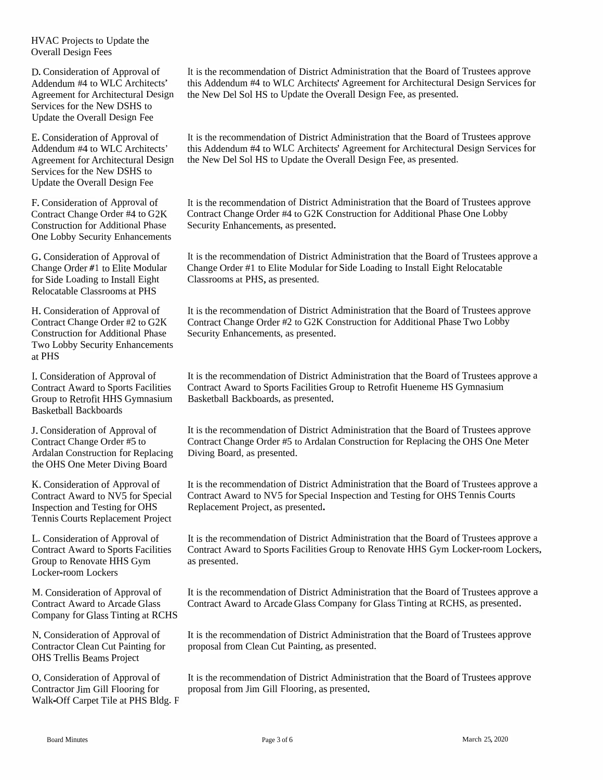HVAC Projects to Update the Overall Design Fees

D.Consideration of Approval of Addendum #4 to WLC Architects' Agreement for Architectural Design Services for the New DSHS to Update the Overall Design Fee

E. Consideration of Approval of Addendum #4 to WLC Architects' Agreement for Architectural Design Services for the New DSHS to Update the Overall Design Fee

F.Consideration of Approval of Contract Change Order #4 to G2K Construction for Additional Phase One Lobby Security Enhancements

G. Consideration of Approval of Change Order *#*<sup>1</sup> to Elite Modular for Side Loading to Install Eight Relocatable Classrooms at PHS

Two Lobby Security Enhancements at PHS

Basketball Backboards

J. Consideration of Approval of It is the recommendation of Contract Change Order #5 to Ardalan Construction for Replacing Diving Board, as presented. the OHS One Meter Diving Board

K. Consideration of Approval of Contract Award to NV5 for Special Inspection and Testing for OHS Tennis Courts Replacement Project

L. Consideration of Approval of Contract Award to Sports Facilities Group to Renovate HHS Gym Locker-room Lockers

Company for Glass Tinting at RCHS

N. Consideration of Approval of Contractor Clean Cut Painting for OHS Trellis Beams Project

O. Consideration of Approval of Contractor Jim Gill Flooring for Walk-Off Carpet Tile at PHS Bldg. <sup>F</sup> It is the recommendation of District Administration that the Board of Trustees approve this Addendum #4 to WLC Architects' Agreement for Architectural Design Services for the New Del Sol HS to Update the Overall Design Fee, as presented.

It is the recommendation of District Administration that the Board of Trustees approve this Addendum #4 to WLC Architects' Agreement for Architectural Design Services for the New Del Sol HS to Update the Overall Design Fee, as presented.

It is the recommendation of District Administration that the Board of Trustees approve Contract Change Order #4 to G2K Construction for Additional Phase One Lobby Security Enhancements, as presented.

It is the recommendation of District Administration that the Board of Trustees approve <sup>a</sup> Change Order #1 to Elite Modular for Side Loading to Install Eight Relocatable Classrooms at PHS, as presented.

It is the recommendation of District Administration that the Board of Trustees approve Contract Change Order #2 to G2K Construction for Additional Phase Two Lobby H. Consideration of Approval of It is the recommendation of District A<br>Contract Change Order #2 to G2K Construction for Additional Phase Security Enhancements, as presented.

It is the recommendation of District Administration that the Board of Trustees approve <sup>a</sup> I. Consideration of Approval of Film is the recommendation of District Administration that the Board of Trustees a<br>Contract Award to Sports Facilities Contract Award to Sports Facilities Group to Retrofit Hueneme HS Gymnas

> It is the recommendation of District Administration that the Board of Trustees approve Contract Change Order #5 to Ardalan Construction for Replacing the OHS One Meter

It is the recommendation of District Administration that the Board of Trustees approve <sup>a</sup> Contract Award to NV5 for Special Inspection and Testing for OHS Tennis Courts Replacement Project, as presented.

It is the recommendation of District Administration that the Board of Trustees approve <sup>a</sup> Contract Award to Sports Facilities Group to Renovate HHS Gym Locker-room Lockers, as presented.

It is the recommendation of District Administration that the Board of Trustees approve <sup>a</sup> M. Consideration of Approval of Film is the recommendation of District Administration that the Board of Trustees approv<br>Contract Award to Arcade Glass Contract Award to Arcade Glass Company for Glass Tinting at RCHS, as pr

> It is the recommendation of District Administration that the Board of Trustees approve proposa<sup>l</sup> from Clean Cut Painting, as presented.

> It is the recommendation of District Administration that the Board of Trustees approve proposa<sup>l</sup> from Jim Gill Flooring, as presented.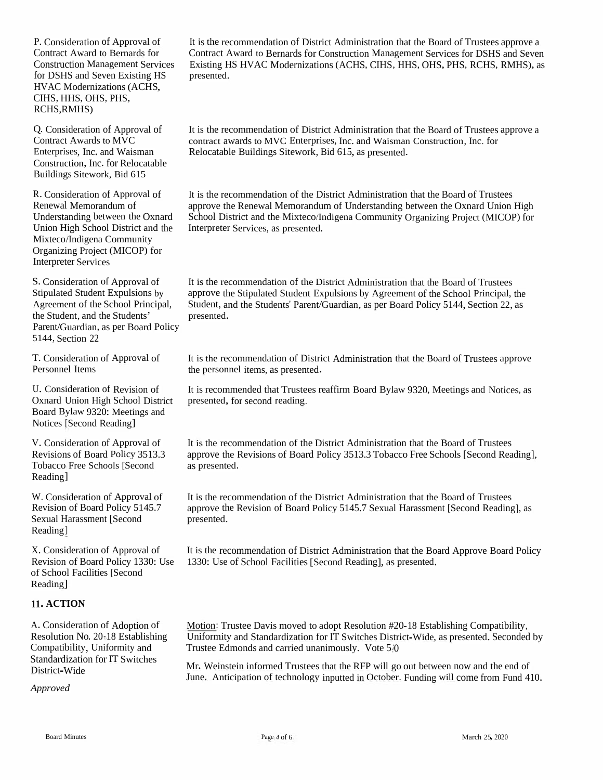P. Consideration of Approval of Contract Award to Bernards for Construction Management Services for DSHS and Seven Existing HS<br>UNAC Modemisations (ACUS HVAC Modernizations (ACHS,<br>CIHS HHS OHS PHS CIHS, HHS, OHS, PHS, RCHS,RMHS)

Q. Consideration of Approval of Contract Awards to MVC Enterprises, Inc. and Waisman Construction, Inc. for RelocatableBuildings Sitework, Bid <sup>615</sup>

R. Consideration of Approval of Renewal MemorandumRenewal Memorandum of<br>Understanding between the Oxnard<br>Union Wish School District Union HighMixteco/Indigena Community Organizing Project (MICOP) for Interpreter Services

S. Consideration of Approval of Stipulated Student Expulsions by Agreement of the School Principal, the Student, and the Students' Parent/Guardian, as per Board Policy 5144, Section <sup>22</sup>

T. Consideration of Approval of Personnel Items

U. Consideration of Revision of<br>Oxnard Union High School District Board Bylaw 9320: Meetings and<br>Notices [Second Reading] Notices [Second Reading]

V. Consideration of Approval of Revisions of Board Policy 3513.3 Tobacco Free Schools [SecondReading]

W. Consideration of Approval of Revision of Board Policy 5145.7 Sexual Harassment [SecondReading]

X. Consideration of Approval of Revision of Board Policy 1330: Use of School Facilities [SecondReading]

### **11. ACTION**

A. Consideration of Adoption of Resolution No. 20-18 EstablishingCompatibility, Uniformity andStandardization for IT Switches<br>District Wide District-Wide

*Approved*

It is the recommendation of District Administration that the Board of Trustees approve a Contract Award to Bernards for Construction Management Services for DSHS and Seven Existing HS HVAC Modernizations (ACHS, CIHS, HHS, OHS, PHS, RCHS, RMHS), as<br>presented presented.

It is the recommendation of District Administration that the Board of Trustees approve a<br>contract approve a MMC Fetamnicse Jac and Weissens Contractive Jac S contract awards to MVC Enterprises, Inc. and Waisman Construction, Inc. for Relocatable Buildings Sitework, Bid 615, as presented.

n of Approval of It is the recommendation of the District Administration that the Board of Trustees approve the Renewal Memorandum of Understanding between the Oxnard Union High<br>d School District and the Mixteco/Indigena Community Organizing Project (MICOP) for Interpreter Services, as presented. approve the Renewal Memorandum

> It is the recommendation of the District Administration that the Board of Trustees approve the Stipulated Student Expulsions by Agreement of the School Principal, the Student, and the Students' Parent/Guardian, as per Board Policy 5144, Section 22, as presented.

It is the recommendation of District Administration that the Board of Trustees approve the personne<sup>l</sup> items, as presented.

It is recommended that Trustees reaffirm Board Bylaw 9320, Meetings and Notices, as<br>presented, for second reading presented, for second

It is the recommendation of the District Administration that the Board of Trustees approve the Revisions of Board Policy 3513.3 Tobacco Free Schools [Second Reading], as presented.

It is the recommendation of the District Administration that the Board of Trustees approve the Revision of Board Policy 5145.7 Sexual Harassment [Second Reading], as presented.

It is the recommendation of District Administration that the Board Approve Board Policy 1330: Use of School Facilities [Second Reading], as presented.

Motion: Trustee Davis moved to adopt Resolution #20-18 Establishing Compatibility, Uniformity and Standardization for IT Switches District-Wide, as presented. Seconded by<br>Trustee Edmonds and carried unanimously. Note 5.0 Trustee Edmonds and carried unanimously. Vote 5/0

Mr. Weinstein informed Trustees that the RFP will go out between now<br>June Anticipation of technology inputted in October, Eurding will gen Mr. Weinstein informed Trustees that the RFP will go out between now and the end of<br>June. Anticipation of technology inputted in October. Funding will come from Fund 410.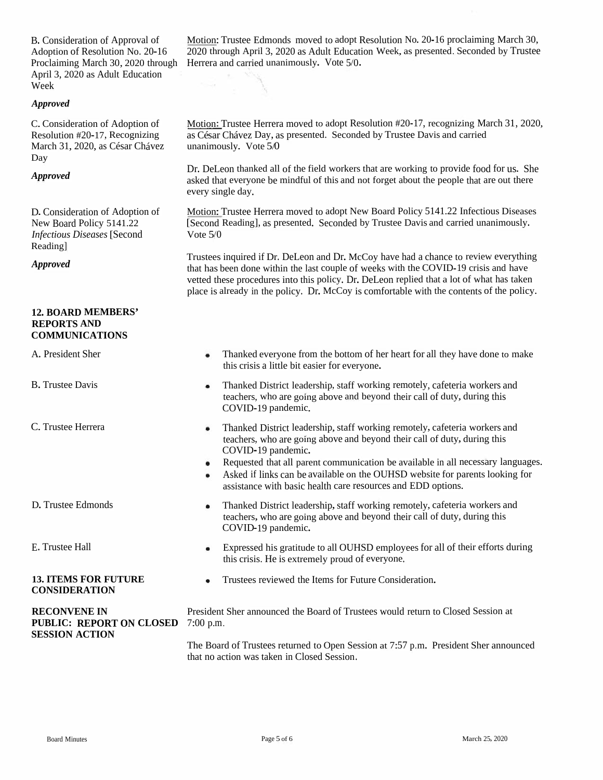B. Consideration of Approval of Adoption of Resolution No. 20-16 April 3, 2020 as Adult Education Week

#### *Approved*

C.Consideration of Adoption of Resolution #20-17, Recognizing March 31, 2020, as César Chávez Day

#### *Approved*

D.Consideration of Adoption of New Board Policy 5141.22 *Infectious Diseases* [Second Reading]

#### **12. BOARD MEMBERS' REPORTS AND COMMUNICATIONS**

| A. I IUSKULIK DIKI                                                              |                                                                                                                                     | THAIRED CYCLYONG HOME LIE DOUGHT OF HEL HEALT TOL AIT THEY HAVE QUITE TO MAKE<br>this crisis a little bit easier for everyone.                                                                                                                                                                                                                                                                                   |  |
|---------------------------------------------------------------------------------|-------------------------------------------------------------------------------------------------------------------------------------|------------------------------------------------------------------------------------------------------------------------------------------------------------------------------------------------------------------------------------------------------------------------------------------------------------------------------------------------------------------------------------------------------------------|--|
| <b>B.</b> Trustee Davis                                                         | ٠                                                                                                                                   | Thanked District leadership, staff working remotely, cafeteria workers and<br>teachers, who are going above and beyond their call of duty, during this<br>COVID-19 pandemic.                                                                                                                                                                                                                                     |  |
| C. Trustee Herrera                                                              |                                                                                                                                     | Thanked District leadership, staff working remotely, cafeteria workers and<br>teachers, who are going above and beyond their call of duty, during this<br>COVID-19 pandemic.<br>Requested that all parent communication be available in all necessary languages.<br>Asked if links can be available on the OUHSD website for parents looking for<br>assistance with basic health care resources and EDD options. |  |
| D. Trustee Edmonds                                                              |                                                                                                                                     | Thanked District leadership, staff working remotely, cafeteria workers and<br>teachers, who are going above and beyond their call of duty, during this<br>COVID-19 pandemic.                                                                                                                                                                                                                                     |  |
| E. Trustee Hall                                                                 |                                                                                                                                     | Expressed his gratitude to all OUHSD employees for all of their efforts during<br>this crisis. He is extremely proud of everyone.                                                                                                                                                                                                                                                                                |  |
| <b>13. ITEMS FOR FUTURE</b><br><b>CONSIDERATION</b>                             |                                                                                                                                     | Trustees reviewed the Items for Future Consideration.                                                                                                                                                                                                                                                                                                                                                            |  |
| <b>RECONVENE IN</b><br><b>PUBLIC: REPORT ON CLOSED</b><br><b>SESSION ACTION</b> | President Sher announced the Board of Trustees would return to Closed Session at<br>$7:00$ p.m.                                     |                                                                                                                                                                                                                                                                                                                                                                                                                  |  |
|                                                                                 | The Board of Trustees returned to Open Session at 7:57 p.m. President Sher announced<br>that no action was taken in Closed Session. |                                                                                                                                                                                                                                                                                                                                                                                                                  |  |

Motion: Trustee Edmonds moved to adopt Resolution No. 20-16 proclaiming March 30, 2020 through April 3, 2020 as Adult Education Week, as presented. Seconded by Trustee Proclaiming March 30, <sup>2020</sup> through Herrera and carried unanimously. Vote 5/0.

> Motion: Trustee Herrera moved to adopt Resolution #20-17, recognizing March 31, 2020, as César Chávez Day, as presented. Seconded by Trustee Davis and carried unanimously. Vote 5/0

Dr. DeLeon thanked all of the field workers that are working to provide food for us. She asked that everyone be mindful of this and not forget about the people that are out there every single day.

Motion: Trustee Herrera moved to adopt New Board Policy 5141.22 Infectious Diseases [Second Reading], as presented. Seconded by Trustee Davis and carried unanimously. Vote 5/0

*Approved* Trustees inquired if Dr. DeLeon and Dr. McCoy have had a chance to review everything that has been done within the last couple of weeks with the COVID-19 crisis and have vetted these procedures into this policy. Dr. DeLeon replied that <sup>a</sup> lot of what has taken <sup>p</sup>lace is already in the policy. Dr. McCoy is comfortable with the contents of the policy.

A. President Sher Thanked everyone from the bottom of her heart for all they have done to make